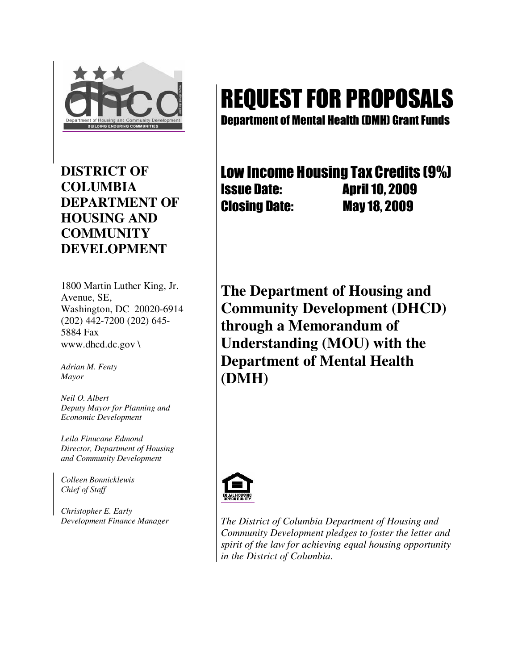

# **DISTRICT OF COLUMBIA DEPARTMENT OF HOUSING AND COMMUNITY DEVELOPMENT**

1800 Martin Luther King, Jr. Avenue, SE, Washington, DC 20020-6914 (202) 442-7200 (202) 645- 5884 Fax www.dhcd.dc.gov \

*Adrian M. Fenty Mayor* 

*Neil O. Albert Deputy Mayor for Planning and Economic Development* 

*Leila Finucane Edmond Director, Department of Housing and Community Development* 

*Colleen Bonnicklewis Chief of Staff* 

*Christopher E. Early Development Finance Manager* 

# REQUEST FOR PROPOSALS

Department of Mental Health (DMH) Grant Funds

Low Income Housing Tax Credits (9%) Issue Date: April 10, 2009 Closing Date: May 18, 2009

**The Department of Housing and Community Development (DHCD) through a Memorandum of Understanding (MOU) with the Department of Mental Health (DMH)** 



*The District of Columbia Department of Housing and Community Development pledges to foster the letter and spirit of the law for achieving equal housing opportunity in the District of Columbia*.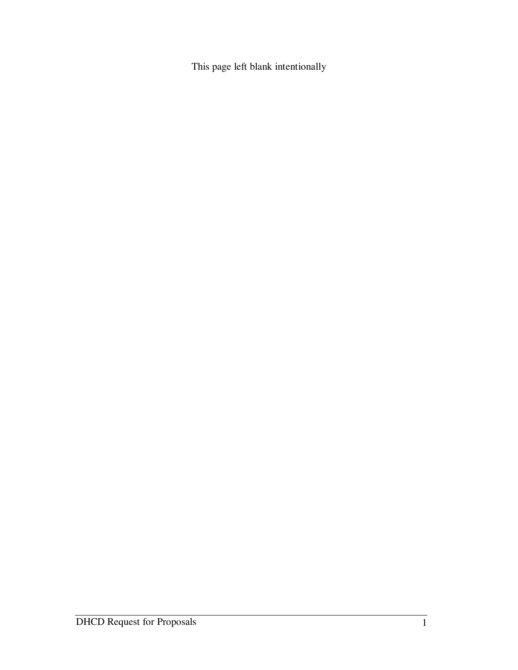This page left blank intentionally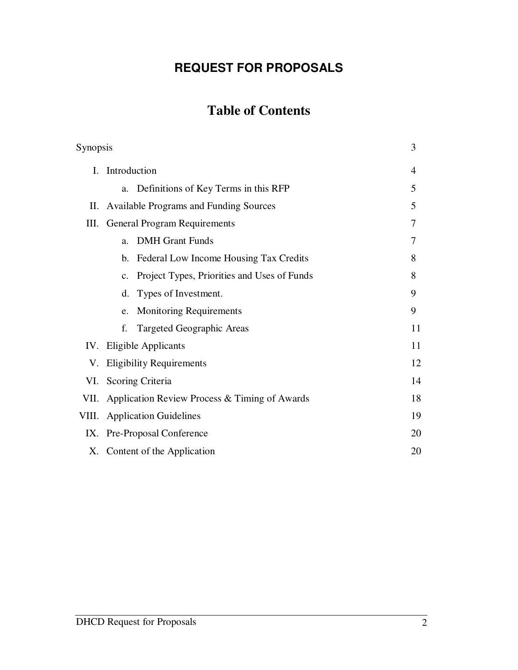# **REQUEST FOR PROPOSALS**

# **Table of Contents**

| Synopsis                                                     | 3  |  |  |  |  |  |
|--------------------------------------------------------------|----|--|--|--|--|--|
| I. Introduction                                              | 4  |  |  |  |  |  |
| Definitions of Key Terms in this RFP<br>a.                   | 5  |  |  |  |  |  |
| <b>Available Programs and Funding Sources</b><br>П.          |    |  |  |  |  |  |
| <b>General Program Requirements</b><br>Ш.                    |    |  |  |  |  |  |
| <b>DMH</b> Grant Funds<br>a.                                 | 7  |  |  |  |  |  |
| Federal Low Income Housing Tax Credits<br>b.                 | 8  |  |  |  |  |  |
| Project Types, Priorities and Uses of Funds<br>$C_{\bullet}$ | 8  |  |  |  |  |  |
| Types of Investment.<br>d.                                   | 9  |  |  |  |  |  |
| <b>Monitoring Requirements</b><br>e.                         | 9  |  |  |  |  |  |
| f.<br>Targeted Geographic Areas                              | 11 |  |  |  |  |  |
| IV. Eligible Applicants                                      | 11 |  |  |  |  |  |
| <b>Eligibility Requirements</b><br>V.                        |    |  |  |  |  |  |
| Scoring Criteria<br>VI.                                      | 14 |  |  |  |  |  |
| Application Review Process & Timing of Awards                | 18 |  |  |  |  |  |
| <b>Application Guidelines</b><br>VIII.                       |    |  |  |  |  |  |
| Pre-Proposal Conference<br>IX.                               |    |  |  |  |  |  |
| X. Content of the Application                                |    |  |  |  |  |  |
|                                                              |    |  |  |  |  |  |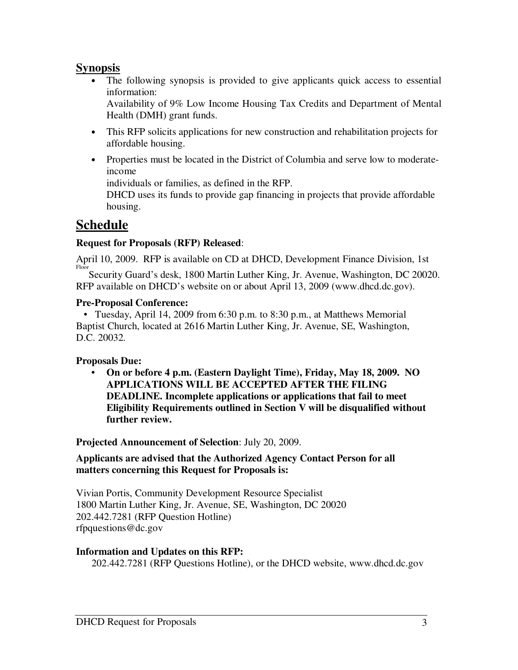### **Synopsis**

• The following synopsis is provided to give applicants quick access to essential information:

Availability of 9% Low Income Housing Tax Credits and Department of Mental Health (DMH) grant funds.

- This RFP solicits applications for new construction and rehabilitation projects for affordable housing.
- Properties must be located in the District of Columbia and serve low to moderateincome

individuals or families, as defined in the RFP.

DHCD uses its funds to provide gap financing in projects that provide affordable housing.

# **Schedule**

### **Request for Proposals (RFP) Released**:

April 10, 2009. RFP is available on CD at DHCD, Development Finance Division, 1st

Floor Security Guard's desk, 1800 Martin Luther King, Jr. Avenue, Washington, DC 20020. RFP available on DHCD's website on or about April 13, 2009 (www.dhcd.dc.gov).

### **Pre-Proposal Conference:**

 • Tuesday, April 14, 2009 from 6:30 p.m. to 8:30 p.m., at Matthews Memorial Baptist Church, located at 2616 Martin Luther King, Jr. Avenue, SE, Washington, D.C. 20032.

### **Proposals Due:**

• **On or before 4 p.m. (Eastern Daylight Time), Friday, May 18, 2009. NO APPLICATIONS WILL BE ACCEPTED AFTER THE FILING DEADLINE. Incomplete applications or applications that fail to meet Eligibility Requirements outlined in Section V will be disqualified without further review.** 

**Projected Announcement of Selection**: July 20, 2009.

### **Applicants are advised that the Authorized Agency Contact Person for all matters concerning this Request for Proposals is:**

Vivian Portis, Community Development Resource Specialist 1800 Martin Luther King, Jr. Avenue, SE, Washington, DC 20020 202.442.7281 (RFP Question Hotline) rfpquestions@dc.gov

### **Information and Updates on this RFP:**

202.442.7281 (RFP Questions Hotline), or the DHCD website, www.dhcd.dc.gov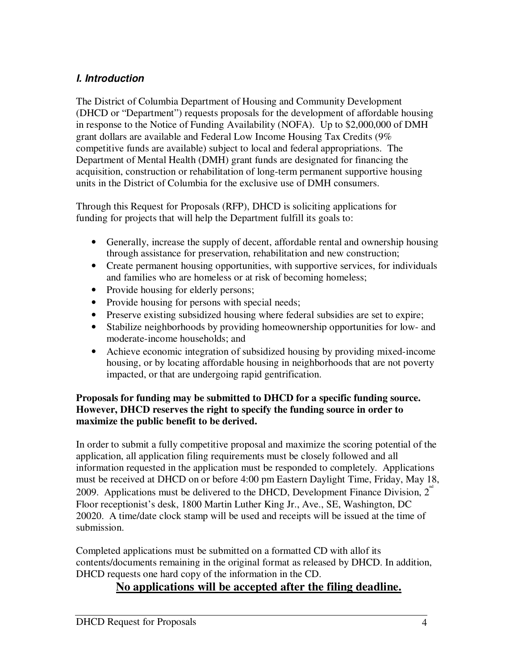### **I. Introduction**

The District of Columbia Department of Housing and Community Development (DHCD or "Department") requests proposals for the development of affordable housing in response to the Notice of Funding Availability (NOFA). Up to \$2,000,000 of DMH grant dollars are available and Federal Low Income Housing Tax Credits (9% competitive funds are available) subject to local and federal appropriations. The Department of Mental Health (DMH) grant funds are designated for financing the acquisition, construction or rehabilitation of long-term permanent supportive housing units in the District of Columbia for the exclusive use of DMH consumers.

Through this Request for Proposals (RFP), DHCD is soliciting applications for funding for projects that will help the Department fulfill its goals to:

- Generally, increase the supply of decent, affordable rental and ownership housing through assistance for preservation, rehabilitation and new construction;
- Create permanent housing opportunities, with supportive services, for individuals and families who are homeless or at risk of becoming homeless;
- Provide housing for elderly persons;
- Provide housing for persons with special needs;
- Preserve existing subsidized housing where federal subsidies are set to expire;
- Stabilize neighborhoods by providing homeownership opportunities for low- and moderate-income households; and
- Achieve economic integration of subsidized housing by providing mixed-income housing, or by locating affordable housing in neighborhoods that are not poverty impacted, or that are undergoing rapid gentrification.

### **Proposals for funding may be submitted to DHCD for a specific funding source. However, DHCD reserves the right to specify the funding source in order to maximize the public benefit to be derived.**

In order to submit a fully competitive proposal and maximize the scoring potential of the application, all application filing requirements must be closely followed and all information requested in the application must be responded to completely. Applications must be received at DHCD on or before 4:00 pm Eastern Daylight Time, Friday, May 18, 2009. Applications must be delivered to the DHCD, Development Finance Division,  $2^{nd}$ Floor receptionist's desk, 1800 Martin Luther King Jr., Ave., SE, Washington, DC 20020. A time/date clock stamp will be used and receipts will be issued at the time of submission.

Completed applications must be submitted on a formatted CD with allof its contents/documents remaining in the original format as released by DHCD. In addition, DHCD requests one hard copy of the information in the CD.

# **No applications will be accepted after the filing deadline.**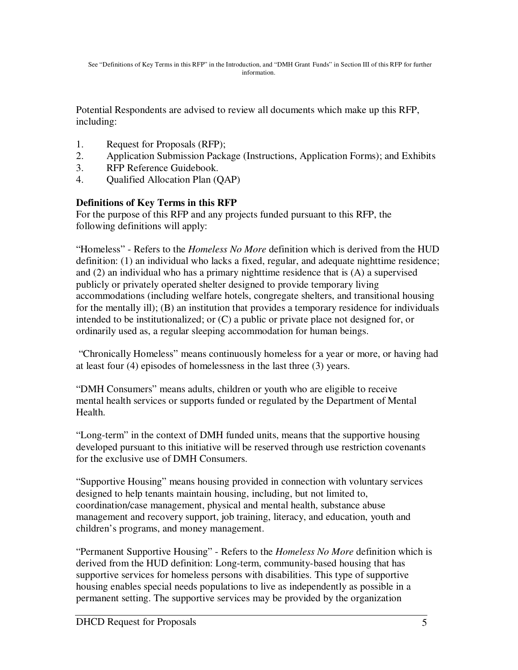Potential Respondents are advised to review all documents which make up this RFP, including:

- 1. Request for Proposals (RFP);
- 2. Application Submission Package (Instructions, Application Forms); and Exhibits
- 3. RFP Reference Guidebook.
- 4. Qualified Allocation Plan (QAP)

### **Definitions of Key Terms in this RFP**

For the purpose of this RFP and any projects funded pursuant to this RFP, the following definitions will apply:

"Homeless" - Refers to the *Homeless No More* definition which is derived from the HUD definition: (1) an individual who lacks a fixed, regular, and adequate nighttime residence; and (2) an individual who has a primary nighttime residence that is (A) a supervised publicly or privately operated shelter designed to provide temporary living accommodations (including welfare hotels, congregate shelters, and transitional housing for the mentally ill); (B) an institution that provides a temporary residence for individuals intended to be institutionalized; or (C) a public or private place not designed for, or ordinarily used as, a regular sleeping accommodation for human beings.

 "Chronically Homeless" means continuously homeless for a year or more, or having had at least four (4) episodes of homelessness in the last three (3) years.

"DMH Consumers" means adults, children or youth who are eligible to receive mental health services or supports funded or regulated by the Department of Mental Health.

"Long-term" in the context of DMH funded units, means that the supportive housing developed pursuant to this initiative will be reserved through use restriction covenants for the exclusive use of DMH Consumers.

"Supportive Housing" means housing provided in connection with voluntary services designed to help tenants maintain housing, including, but not limited to, coordination/case management, physical and mental health, substance abuse management and recovery support, job training, literacy, and education, youth and children's programs, and money management.

"Permanent Supportive Housing" - Refers to the *Homeless No More* definition which is derived from the HUD definition: Long-term, community-based housing that has supportive services for homeless persons with disabilities. This type of supportive housing enables special needs populations to live as independently as possible in a permanent setting. The supportive services may be provided by the organization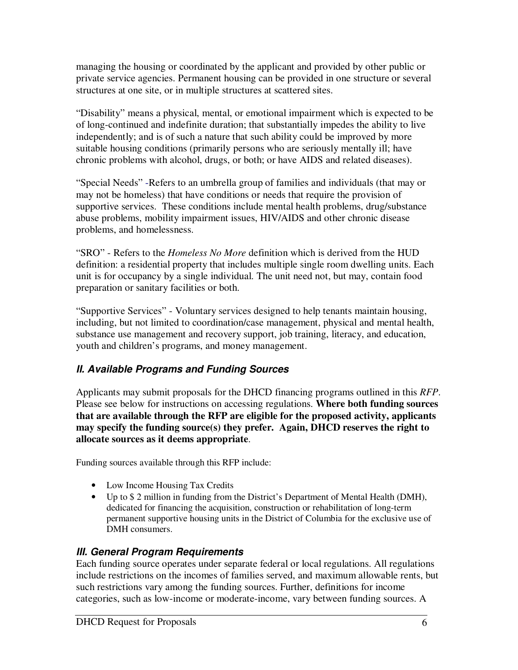managing the housing or coordinated by the applicant and provided by other public or private service agencies. Permanent housing can be provided in one structure or several structures at one site, or in multiple structures at scattered sites.

"Disability" means a physical, mental, or emotional impairment which is expected to be of long-continued and indefinite duration; that substantially impedes the ability to live independently; and is of such a nature that such ability could be improved by more suitable housing conditions (primarily persons who are seriously mentally ill; have chronic problems with alcohol, drugs, or both; or have AIDS and related diseases).

"Special Needs" -Refers to an umbrella group of families and individuals (that may or may not be homeless) that have conditions or needs that require the provision of supportive services. These conditions include mental health problems, drug/substance abuse problems, mobility impairment issues, HIV/AIDS and other chronic disease problems, and homelessness.

"SRO" - Refers to the *Homeless No More* definition which is derived from the HUD definition: a residential property that includes multiple single room dwelling units. Each unit is for occupancy by a single individual. The unit need not, but may, contain food preparation or sanitary facilities or both.

"Supportive Services" - Voluntary services designed to help tenants maintain housing, including, but not limited to coordination/case management, physical and mental health, substance use management and recovery support, job training, literacy, and education, youth and children's programs, and money management.

# **II. Available Programs and Funding Sources**

Applicants may submit proposals for the DHCD financing programs outlined in this *RFP*. Please see below for instructions on accessing regulations. **Where both funding sources that are available through the RFP are eligible for the proposed activity, applicants may specify the funding source(s) they prefer. Again, DHCD reserves the right to allocate sources as it deems appropriate**.

Funding sources available through this RFP include:

- Low Income Housing Tax Credits
- Up to \$ 2 million in funding from the District's Department of Mental Health (DMH), dedicated for financing the acquisition, construction or rehabilitation of long-term permanent supportive housing units in the District of Columbia for the exclusive use of DMH consumers.

### **III. General Program Requirements**

Each funding source operates under separate federal or local regulations. All regulations include restrictions on the incomes of families served, and maximum allowable rents, but such restrictions vary among the funding sources. Further, definitions for income categories, such as low-income or moderate-income, vary between funding sources. A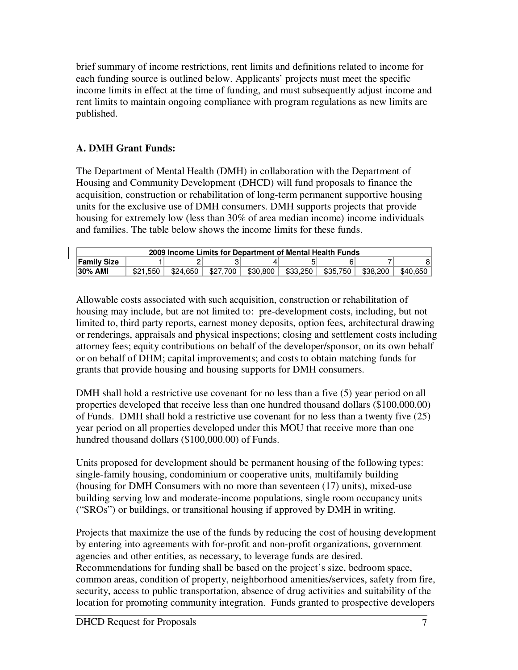brief summary of income restrictions, rent limits and definitions related to income for each funding source is outlined below. Applicants' projects must meet the specific income limits in effect at the time of funding, and must subsequently adjust income and rent limits to maintain ongoing compliance with program regulations as new limits are published.

### **A. DMH Grant Funds:**

The Department of Mental Health (DMH) in collaboration with the Department of Housing and Community Development (DHCD) will fund proposals to finance the acquisition, construction or rehabilitation of long-term permanent supportive housing units for the exclusive use of DMH consumers. DMH supports projects that provide housing for extremely low (less than 30% of area median income) income individuals and families. The table below shows the income limits for these funds.

| 2009 Income Limits for Department of Mental Health Funds |              |          |          |          |          |          |          |          |  |
|----------------------------------------------------------|--------------|----------|----------|----------|----------|----------|----------|----------|--|
| Familv Size                                              |              |          |          |          |          |          |          |          |  |
| 30% AMI                                                  | .550<br>\$2. | \$24.650 | \$27.700 | \$30,800 | \$33,250 | \$35,750 | \$38,200 | \$40.650 |  |

Allowable costs associated with such acquisition, construction or rehabilitation of housing may include, but are not limited to: pre-development costs, including, but not limited to, third party reports, earnest money deposits, option fees, architectural drawing or renderings, appraisals and physical inspections; closing and settlement costs including attorney fees; equity contributions on behalf of the developer/sponsor, on its own behalf or on behalf of DHM; capital improvements; and costs to obtain matching funds for grants that provide housing and housing supports for DMH consumers.

DMH shall hold a restrictive use covenant for no less than a five (5) year period on all properties developed that receive less than one hundred thousand dollars (\$100,000.00) of Funds. DMH shall hold a restrictive use covenant for no less than a twenty five (25) year period on all properties developed under this MOU that receive more than one hundred thousand dollars (\$100,000.00) of Funds.

Units proposed for development should be permanent housing of the following types: single-family housing, condominium or cooperative units, multifamily building (housing for DMH Consumers with no more than seventeen (17) units), mixed-use building serving low and moderate-income populations, single room occupancy units ("SROs") or buildings, or transitional housing if approved by DMH in writing.

Projects that maximize the use of the funds by reducing the cost of housing development by entering into agreements with for-profit and non-profit organizations, government agencies and other entities, as necessary, to leverage funds are desired. Recommendations for funding shall be based on the project's size, bedroom space, common areas, condition of property, neighborhood amenities/services, safety from fire, security, access to public transportation, absence of drug activities and suitability of the location for promoting community integration. Funds granted to prospective developers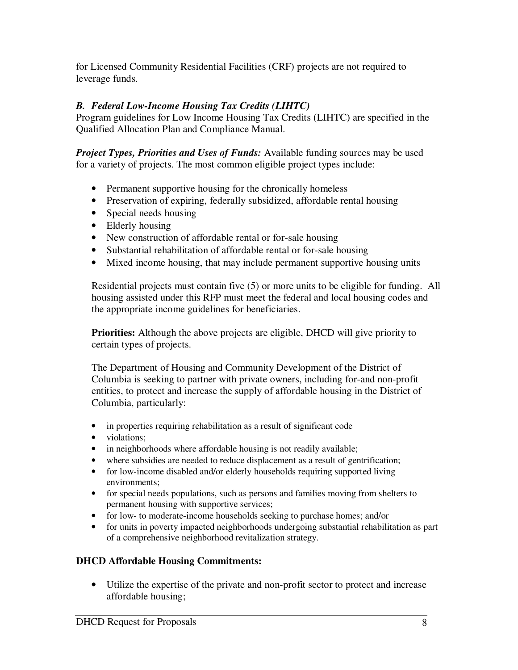for Licensed Community Residential Facilities (CRF) projects are not required to leverage funds.

### *B. Federal Low-Income Housing Tax Credits (LIHTC)*

Program guidelines for Low Income Housing Tax Credits (LIHTC) are specified in the Qualified Allocation Plan and Compliance Manual.

*Project Types, Priorities and Uses of Funds:* Available funding sources may be used for a variety of projects. The most common eligible project types include:

- Permanent supportive housing for the chronically homeless
- Preservation of expiring, federally subsidized, affordable rental housing
- Special needs housing
- Elderly housing
- New construction of affordable rental or for-sale housing
- Substantial rehabilitation of affordable rental or for-sale housing
- Mixed income housing, that may include permanent supportive housing units

Residential projects must contain five (5) or more units to be eligible for funding. All housing assisted under this RFP must meet the federal and local housing codes and the appropriate income guidelines for beneficiaries.

**Priorities:** Although the above projects are eligible, DHCD will give priority to certain types of projects.

The Department of Housing and Community Development of the District of Columbia is seeking to partner with private owners, including for-and non-profit entities, to protect and increase the supply of affordable housing in the District of Columbia, particularly:

- in properties requiring rehabilitation as a result of significant code
- violations;
- in neighborhoods where affordable housing is not readily available;
- where subsidies are needed to reduce displacement as a result of gentrification;
- for low-income disabled and/or elderly households requiring supported living environments;
- for special needs populations, such as persons and families moving from shelters to permanent housing with supportive services;
- for low- to moderate-income households seeking to purchase homes; and/or
- for units in poverty impacted neighborhoods undergoing substantial rehabilitation as part of a comprehensive neighborhood revitalization strategy.

### **DHCD Affordable Housing Commitments:**

• Utilize the expertise of the private and non-profit sector to protect and increase affordable housing;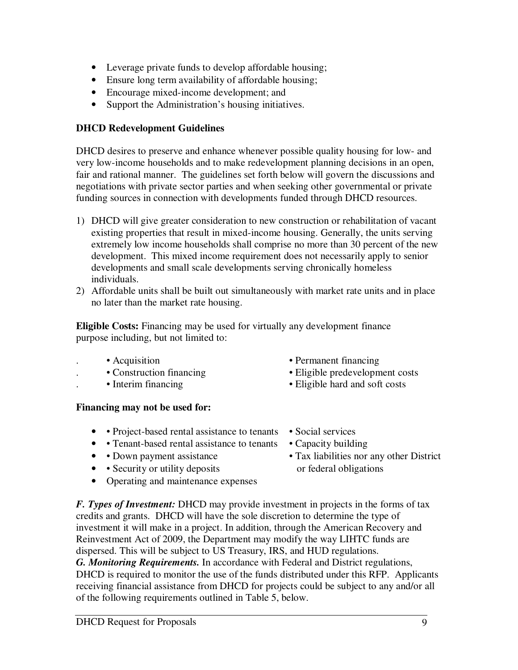- Leverage private funds to develop affordable housing;
- Ensure long term availability of affordable housing;
- Encourage mixed-income development; and
- Support the Administration's housing initiatives.

### **DHCD Redevelopment Guidelines**

DHCD desires to preserve and enhance whenever possible quality housing for low- and very low-income households and to make redevelopment planning decisions in an open, fair and rational manner. The guidelines set forth below will govern the discussions and negotiations with private sector parties and when seeking other governmental or private funding sources in connection with developments funded through DHCD resources.

- 1) DHCD will give greater consideration to new construction or rehabilitation of vacant existing properties that result in mixed-income housing. Generally, the units serving extremely low income households shall comprise no more than 30 percent of the new development. This mixed income requirement does not necessarily apply to senior developments and small scale developments serving chronically homeless individuals.
- 2) Affordable units shall be built out simultaneously with market rate units and in place no later than the market rate housing.

**Eligible Costs:** Financing may be used for virtually any development finance purpose including, but not limited to:

- 
- 
- 

#### **Financing may not be used for:**

- • Project-based rental assistance to tenants Social services
- • Tenant-based rental assistance to tenants Capacity building
- 
- • Security or utility deposits or federal obligations
- Operating and maintenance expenses
- *F. Types of Investment:* DHCD may provide investment in projects in the forms of tax credits and grants. DHCD will have the sole discretion to determine the type of investment it will make in a project. In addition, through the American Recovery and Reinvestment Act of 2009, the Department may modify the way LIHTC funds are dispersed. This will be subject to US Treasury, IRS, and HUD regulations. *G. Monitoring Requirements.* In accordance with Federal and District regulations, DHCD is required to monitor the use of the funds distributed under this RFP. Applicants

receiving financial assistance from DHCD for projects could be subject to any and/or all of the following requirements outlined in Table 5, below.

- Acquisition Permanent financing
- Construction financing Eligible predevelopment costs
- Interim financing Eligible hard and soft costs
	-
	-
- • Down payment assistance Tax liabilities nor any other District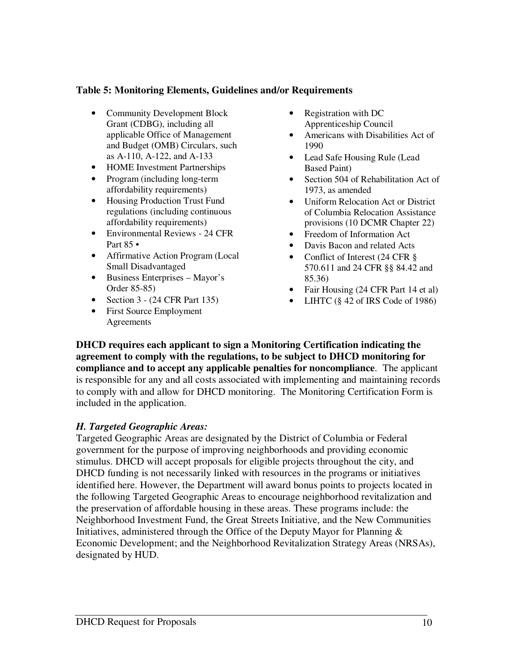#### **Table 5: Monitoring Elements, Guidelines and/or Requirements**

- Community Development Block Grant (CDBG), including all applicable Office of Management and Budget (OMB) Circulars, such as A-110, A-122, and A-133
- HOME Investment Partnerships
- Program (including long-term affordability requirements)
- Housing Production Trust Fund regulations (including continuous affordability requirements)
- Environmental Reviews 24 CFR Part 85 •
- Affirmative Action Program (Local Small Disadvantaged
- Business Enterprises Mayor's Order 85-85)
- Section  $3 (24 \text{ CFR Part } 135)$
- First Source Employment Agreements
- Registration with DC Apprenticeship Council
- Americans with Disabilities Act of 1990
- Lead Safe Housing Rule (Lead Based Paint)
- Section 504 of Rehabilitation Act of 1973, as amended
- Uniform Relocation Act or District of Columbia Relocation Assistance provisions (10 DCMR Chapter 22)
- Freedom of Information Act
- Davis Bacon and related Acts
- Conflict of Interest (24 CFR  $\delta$ ) 570.611 and 24 CFR §§ 84.42 and 85.36)
- Fair Housing (24 CFR Part 14 et al)
- LIHTC (§ 42 of IRS Code of 1986)

**DHCD requires each applicant to sign a Monitoring Certification indicating the agreement to comply with the regulations, to be subject to DHCD monitoring for compliance and to accept any applicable penalties for noncompliance**. The applicant is responsible for any and all costs associated with implementing and maintaining records to comply with and allow for DHCD monitoring. The Monitoring Certification Form is included in the application.

#### *H. Targeted Geographic Areas:*

Targeted Geographic Areas are designated by the District of Columbia or Federal government for the purpose of improving neighborhoods and providing economic stimulus. DHCD will accept proposals for eligible projects throughout the city, and DHCD funding is not necessarily linked with resources in the programs or initiatives identified here. However, the Department will award bonus points to projects located in the following Targeted Geographic Areas to encourage neighborhood revitalization and the preservation of affordable housing in these areas. These programs include: the Neighborhood Investment Fund, the Great Streets Initiative, and the New Communities Initiatives, administered through the Office of the Deputy Mayor for Planning  $\&$ Economic Development; and the Neighborhood Revitalization Strategy Areas (NRSAs), designated by HUD.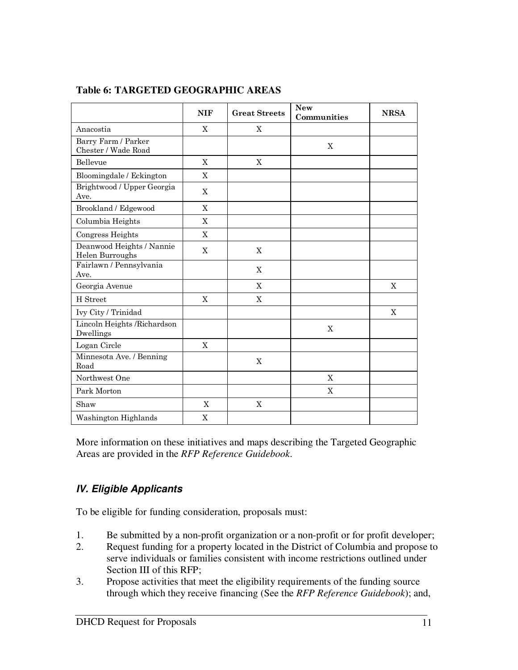|                                              | <b>NIF</b>  | <b>Great Streets</b> | New<br>Communities | <b>NRSA</b> |
|----------------------------------------------|-------------|----------------------|--------------------|-------------|
| Anacostia                                    | X           | X                    |                    |             |
| Barry Farm / Parker<br>Chester / Wade Road   |             |                      | X                  |             |
| Bellevue                                     | X           | X                    |                    |             |
| Bloomingdale / Eckington                     | X           |                      |                    |             |
| Brightwood / Upper Georgia<br>Ave.           | X           |                      |                    |             |
| Brookland / Edgewood                         | X           |                      |                    |             |
| Columbia Heights                             | X           |                      |                    |             |
| Congress Heights                             | X           |                      |                    |             |
| Deanwood Heights / Nannie<br>Helen Burroughs | X           | X                    |                    |             |
| Fairlawn / Pennsylvania<br>Ave.              |             | X                    |                    |             |
| Georgia Avenue                               |             | X                    |                    | X           |
| H Street                                     | X           | X                    |                    |             |
| Ivy City / Trinidad                          |             |                      |                    | X           |
| Lincoln Heights /Richardson<br>Dwellings     |             |                      | X                  |             |
| Logan Circle                                 | X           |                      |                    |             |
| Minnesota Ave. / Benning<br>Road             |             | X                    |                    |             |
| Northwest One                                |             |                      | $\mathbf X$        |             |
| Park Morton                                  |             |                      | X                  |             |
| Shaw                                         | X           | X                    |                    |             |
| Washington Highlands                         | $\mathbf X$ |                      |                    |             |

### **Table 6: TARGETED GEOGRAPHIC AREAS**

More information on these initiatives and maps describing the Targeted Geographic Areas are provided in the *RFP Reference Guidebook*.

### **IV. Eligible Applicants**

To be eligible for funding consideration, proposals must:

- 1. Be submitted by a non-profit organization or a non-profit or for profit developer;
- 2. Request funding for a property located in the District of Columbia and propose to serve individuals or families consistent with income restrictions outlined under Section III of this RFP;
- 3. Propose activities that meet the eligibility requirements of the funding source through which they receive financing (See the *RFP Reference Guidebook*); and,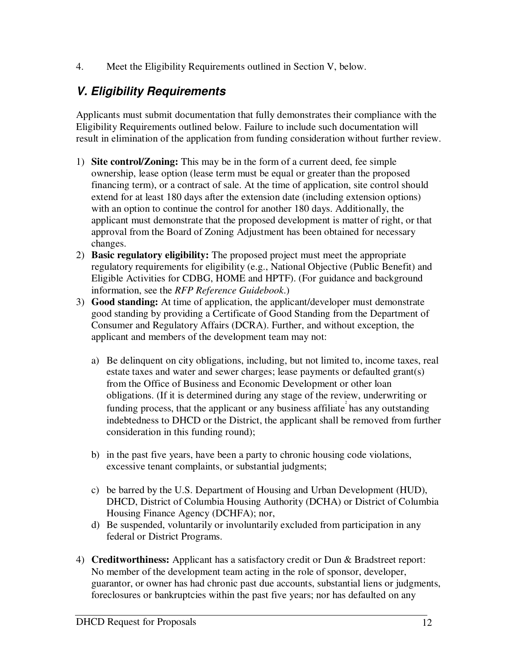4. Meet the Eligibility Requirements outlined in Section V, below.

# **V. Eligibility Requirements**

Applicants must submit documentation that fully demonstrates their compliance with the Eligibility Requirements outlined below. Failure to include such documentation will result in elimination of the application from funding consideration without further review.

- 1) **Site control/Zoning:** This may be in the form of a current deed, fee simple ownership, lease option (lease term must be equal or greater than the proposed financing term), or a contract of sale. At the time of application, site control should extend for at least 180 days after the extension date (including extension options) with an option to continue the control for another 180 days. Additionally, the applicant must demonstrate that the proposed development is matter of right, or that approval from the Board of Zoning Adjustment has been obtained for necessary changes.
- 2) **Basic regulatory eligibility:** The proposed project must meet the appropriate regulatory requirements for eligibility (e.g., National Objective (Public Benefit) and Eligible Activities for CDBG, HOME and HPTF). (For guidance and background information, see the *RFP Reference Guidebook*.)
- 3) **Good standing:** At time of application, the applicant/developer must demonstrate good standing by providing a Certificate of Good Standing from the Department of Consumer and Regulatory Affairs (DCRA). Further, and without exception, the applicant and members of the development team may not:
	- a) Be delinquent on city obligations, including, but not limited to, income taxes, real estate taxes and water and sewer charges; lease payments or defaulted grant(s) from the Office of Business and Economic Development or other loan obligations. (If it is determined during any stage of the review, underwriting or funding process, that the applicant or any business affiliate has any outstanding indebtedness to DHCD or the District, the applicant shall be removed from further consideration in this funding round);
	- b) in the past five years, have been a party to chronic housing code violations, excessive tenant complaints, or substantial judgments;
	- c) be barred by the U.S. Department of Housing and Urban Development (HUD), DHCD, District of Columbia Housing Authority (DCHA) or District of Columbia Housing Finance Agency (DCHFA); nor,
	- d) Be suspended, voluntarily or involuntarily excluded from participation in any federal or District Programs.
- 4) **Creditworthiness:** Applicant has a satisfactory credit or Dun & Bradstreet report: No member of the development team acting in the role of sponsor, developer, guarantor, or owner has had chronic past due accounts, substantial liens or judgments, foreclosures or bankruptcies within the past five years; nor has defaulted on any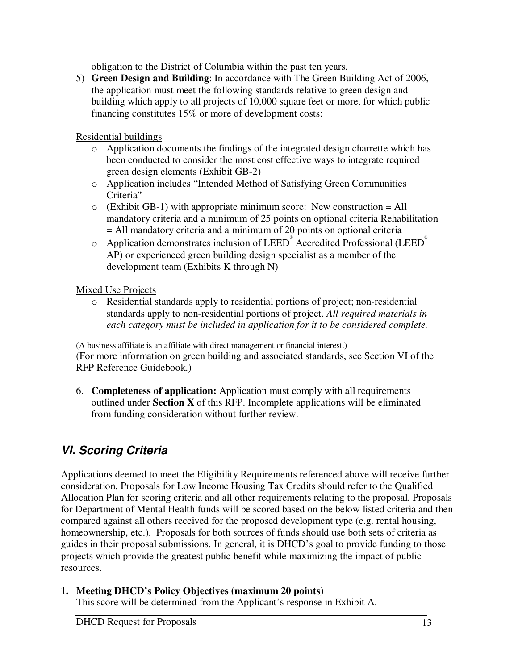obligation to the District of Columbia within the past ten years.

5) **Green Design and Building**: In accordance with The Green Building Act of 2006, the application must meet the following standards relative to green design and building which apply to all projects of 10,000 square feet or more, for which public financing constitutes 15% or more of development costs:

Residential buildings

- o Application documents the findings of the integrated design charrette which has been conducted to consider the most cost effective ways to integrate required green design elements (Exhibit GB-2)
- o Application includes "Intended Method of Satisfying Green Communities Criteria"
- $\circ$  (Exhibit GB-1) with appropriate minimum score: New construction = All mandatory criteria and a minimum of 25 points on optional criteria Rehabilitation = All mandatory criteria and a minimum of 20 points on optional criteria
- o Application demonstrates inclusion of LEED<sup>®</sup> Accredited Professional (LEED<sup>®</sup> AP) or experienced green building design specialist as a member of the development team (Exhibits K through N)

### Mixed Use Projects

o Residential standards apply to residential portions of project; non-residential standards apply to non-residential portions of project. *All required materials in each category must be included in application for it to be considered complete.* 

(A business affiliate is an affiliate with direct management or financial interest.) (For more information on green building and associated standards, see Section VI of the RFP Reference Guidebook.)

6. **Completeness of application:** Application must comply with all requirements outlined under **Section X** of this RFP. Incomplete applications will be eliminated from funding consideration without further review.

# **VI. Scoring Criteria**

Applications deemed to meet the Eligibility Requirements referenced above will receive further consideration. Proposals for Low Income Housing Tax Credits should refer to the Qualified Allocation Plan for scoring criteria and all other requirements relating to the proposal. Proposals for Department of Mental Health funds will be scored based on the below listed criteria and then compared against all others received for the proposed development type (e.g. rental housing, homeownership, etc.). Proposals for both sources of funds should use both sets of criteria as guides in their proposal submissions. In general, it is DHCD's goal to provide funding to those projects which provide the greatest public benefit while maximizing the impact of public resources.

### **1. Meeting DHCD's Policy Objectives (maximum 20 points)**

This score will be determined from the Applicant's response in Exhibit A.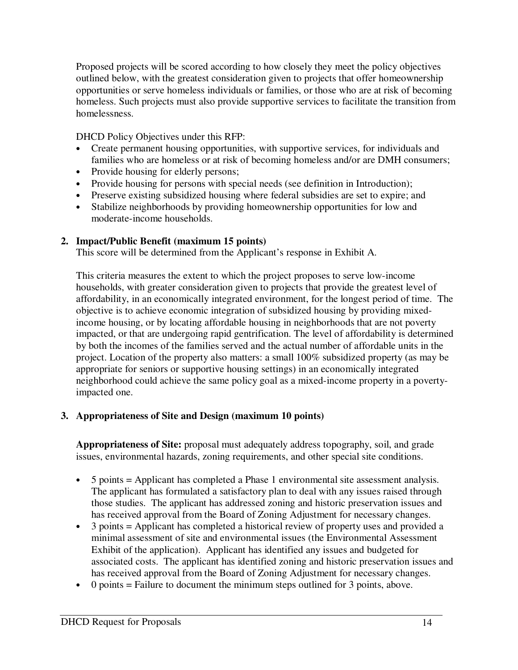Proposed projects will be scored according to how closely they meet the policy objectives outlined below, with the greatest consideration given to projects that offer homeownership opportunities or serve homeless individuals or families, or those who are at risk of becoming homeless. Such projects must also provide supportive services to facilitate the transition from homelessness.

DHCD Policy Objectives under this RFP:

- Create permanent housing opportunities, with supportive services, for individuals and families who are homeless or at risk of becoming homeless and/or are DMH consumers;
- Provide housing for elderly persons;
- Provide housing for persons with special needs (see definition in Introduction);
- Preserve existing subsidized housing where federal subsidies are set to expire; and
- Stabilize neighborhoods by providing homeownership opportunities for low and moderate-income households.

### **2. Impact/Public Benefit (maximum 15 points)**

This score will be determined from the Applicant's response in Exhibit A.

This criteria measures the extent to which the project proposes to serve low-income households, with greater consideration given to projects that provide the greatest level of affordability, in an economically integrated environment, for the longest period of time. The objective is to achieve economic integration of subsidized housing by providing mixedincome housing, or by locating affordable housing in neighborhoods that are not poverty impacted, or that are undergoing rapid gentrification. The level of affordability is determined by both the incomes of the families served and the actual number of affordable units in the project. Location of the property also matters: a small 100% subsidized property (as may be appropriate for seniors or supportive housing settings) in an economically integrated neighborhood could achieve the same policy goal as a mixed-income property in a povertyimpacted one.

### **3. Appropriateness of Site and Design (maximum 10 points)**

**Appropriateness of Site:** proposal must adequately address topography, soil, and grade issues, environmental hazards, zoning requirements, and other special site conditions.

- 5 points = Applicant has completed a Phase 1 environmental site assessment analysis. The applicant has formulated a satisfactory plan to deal with any issues raised through those studies. The applicant has addressed zoning and historic preservation issues and has received approval from the Board of Zoning Adjustment for necessary changes.
- 3 points = Applicant has completed a historical review of property uses and provided a minimal assessment of site and environmental issues (the Environmental Assessment Exhibit of the application). Applicant has identified any issues and budgeted for associated costs. The applicant has identified zoning and historic preservation issues and has received approval from the Board of Zoning Adjustment for necessary changes.
- $\bullet$  0 points = Failure to document the minimum steps outlined for 3 points, above.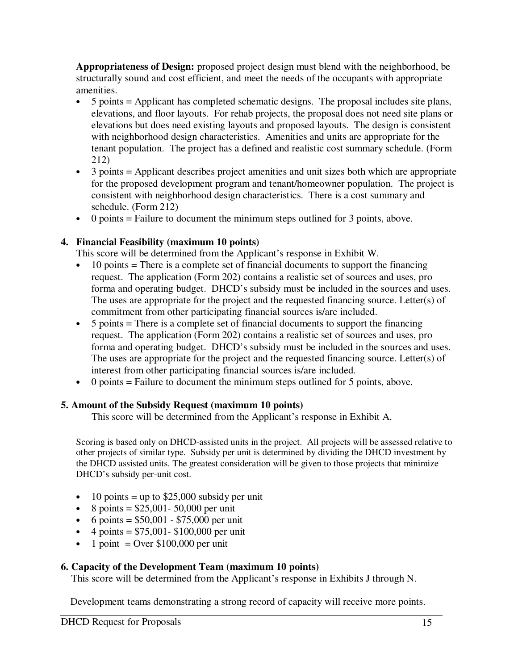**Appropriateness of Design:** proposed project design must blend with the neighborhood, be structurally sound and cost efficient, and meet the needs of the occupants with appropriate amenities.

- 5 points = Applicant has completed schematic designs. The proposal includes site plans, elevations, and floor layouts. For rehab projects, the proposal does not need site plans or elevations but does need existing layouts and proposed layouts. The design is consistent with neighborhood design characteristics. Amenities and units are appropriate for the tenant population. The project has a defined and realistic cost summary schedule. (Form 212)
- 3 points = Applicant describes project amenities and unit sizes both which are appropriate for the proposed development program and tenant/homeowner population. The project is consistent with neighborhood design characteristics. There is a cost summary and schedule. (Form 212)
- $\bullet$  0 points = Failure to document the minimum steps outlined for 3 points, above.

### **4. Financial Feasibility (maximum 10 points)**

This score will be determined from the Applicant's response in Exhibit W.

- $\bullet$  10 points = There is a complete set of financial documents to support the financing request. The application (Form 202) contains a realistic set of sources and uses, pro forma and operating budget. DHCD's subsidy must be included in the sources and uses. The uses are appropriate for the project and the requested financing source. Letter(s) of commitment from other participating financial sources is/are included.
- $\bullet$  5 points = There is a complete set of financial documents to support the financing request. The application (Form 202) contains a realistic set of sources and uses, pro forma and operating budget. DHCD's subsidy must be included in the sources and uses. The uses are appropriate for the project and the requested financing source. Letter(s) of interest from other participating financial sources is/are included.
- $\bullet$  0 points = Failure to document the minimum steps outlined for 5 points, above.

### **5. Amount of the Subsidy Request (maximum 10 points)**

This score will be determined from the Applicant's response in Exhibit A.

Scoring is based only on DHCD-assisted units in the project. All projects will be assessed relative to other projects of similar type. Subsidy per unit is determined by dividing the DHCD investment by the DHCD assisted units. The greatest consideration will be given to those projects that minimize DHCD's subsidy per-unit cost.

- 10 points = up to  $$25,000$  subsidy per unit
- 8 points =  $$25,001 50,000$  per unit
- 6 points =  $$50,001 $75,000$  per unit
- 4 points =  $$75,001 $100,000$  per unit
- 1 point = Over  $$100,000$  per unit

### **6. Capacity of the Development Team (maximum 10 points)**

This score will be determined from the Applicant's response in Exhibits J through N.

Development teams demonstrating a strong record of capacity will receive more points.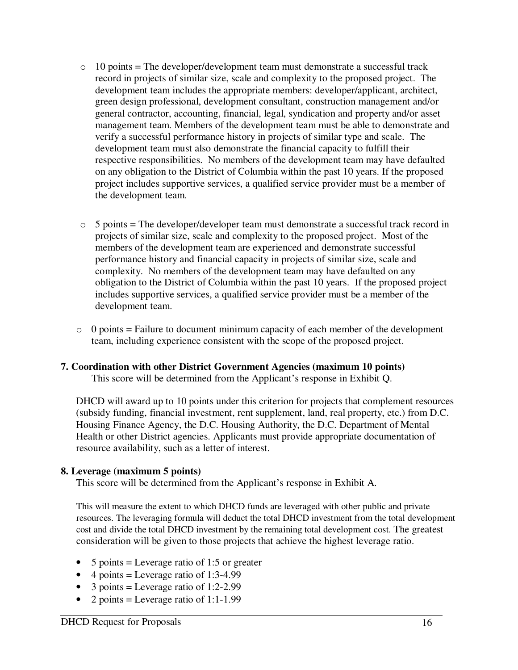- o 10 points = The developer/development team must demonstrate a successful track record in projects of similar size, scale and complexity to the proposed project. The development team includes the appropriate members: developer/applicant, architect, green design professional, development consultant, construction management and/or general contractor, accounting, financial, legal, syndication and property and/or asset management team. Members of the development team must be able to demonstrate and verify a successful performance history in projects of similar type and scale. The development team must also demonstrate the financial capacity to fulfill their respective responsibilities. No members of the development team may have defaulted on any obligation to the District of Columbia within the past 10 years. If the proposed project includes supportive services, a qualified service provider must be a member of the development team.
- $\circ$  5 points = The developer/developer team must demonstrate a successful track record in projects of similar size, scale and complexity to the proposed project. Most of the members of the development team are experienced and demonstrate successful performance history and financial capacity in projects of similar size, scale and complexity. No members of the development team may have defaulted on any obligation to the District of Columbia within the past 10 years. If the proposed project includes supportive services, a qualified service provider must be a member of the development team.
- $\circ$  0 points = Failure to document minimum capacity of each member of the development team, including experience consistent with the scope of the proposed project.

# **7. Coordination with other District Government Agencies (maximum 10 points)**

This score will be determined from the Applicant's response in Exhibit Q.

DHCD will award up to 10 points under this criterion for projects that complement resources (subsidy funding, financial investment, rent supplement, land, real property, etc.) from D.C. Housing Finance Agency, the D.C. Housing Authority, the D.C. Department of Mental Health or other District agencies. Applicants must provide appropriate documentation of resource availability, such as a letter of interest.

#### **8. Leverage (maximum 5 points)**

This score will be determined from the Applicant's response in Exhibit A.

This will measure the extent to which DHCD funds are leveraged with other public and private resources. The leveraging formula will deduct the total DHCD investment from the total development cost and divide the total DHCD investment by the remaining total development cost. The greatest consideration will be given to those projects that achieve the highest leverage ratio.

- 5 points = Leverage ratio of 1:5 or greater
- 4 points = Leverage ratio of 1:3-4.99
- 3 points = Leverage ratio of 1:2-2.99
- 2 points = Leverage ratio of 1:1-1.99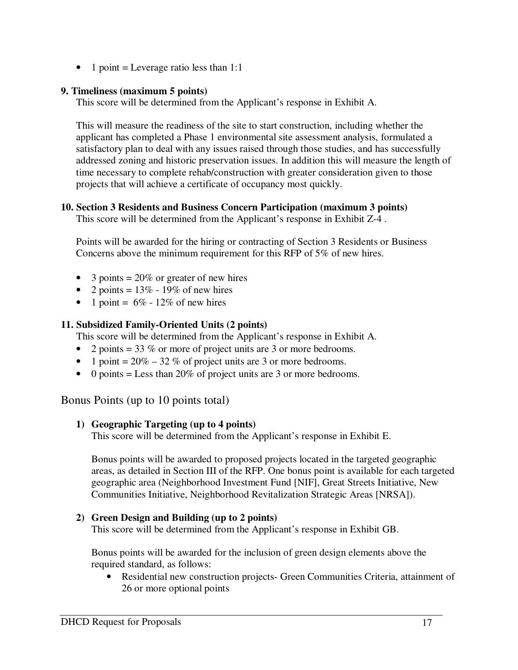• 1 point = Leverage ratio less than 1:1

### **9. Timeliness (maximum 5 points)**

This score will be determined from the Applicant's response in Exhibit A.

This will measure the readiness of the site to start construction, including whether the applicant has completed a Phase 1 environmental site assessment analysis, formulated a satisfactory plan to deal with any issues raised through those studies, and has successfully addressed zoning and historic preservation issues. In addition this will measure the length of time necessary to complete rehab/construction with greater consideration given to those projects that will achieve a certificate of occupancy most quickly.

### **10. Section 3 Residents and Business Concern Participation (maximum 3 points)**

This score will be determined from the Applicant's response in Exhibit Z-4 .

Points will be awarded for the hiring or contracting of Section 3 Residents or Business Concerns above the minimum requirement for this RFP of 5% of new hires.

- 3 points  $= 20\%$  or greater of new hires
- 2 points =  $13\%$  19% of new hires
- 1 point =  $6\%$  12\% of new hires

### **11. Subsidized Family-Oriented Units (2 points)**

This score will be determined from the Applicant's response in Exhibit A.

- 2 points  $= 33\%$  or more of project units are 3 or more bedrooms.
- 1 point =  $20\% 32\%$  of project units are 3 or more bedrooms.
- 0 points = Less than 20% of project units are 3 or more bedrooms.

Bonus Points (up to 10 points total)

### **1) Geographic Targeting (up to 4 points)**

This score will be determined from the Applicant's response in Exhibit E.

Bonus points will be awarded to proposed projects located in the targeted geographic areas, as detailed in Section III of the RFP. One bonus point is available for each targeted geographic area (Neighborhood Investment Fund [NIF], Great Streets Initiative, New Communities Initiative, Neighborhood Revitalization Strategic Areas [NRSA]).

### **2) Green Design and Building (up to 2 points)**

This score will be determined from the Applicant's response in Exhibit GB.

Bonus points will be awarded for the inclusion of green design elements above the required standard, as follows:

• Residential new construction projects- Green Communities Criteria, attainment of 26 or more optional points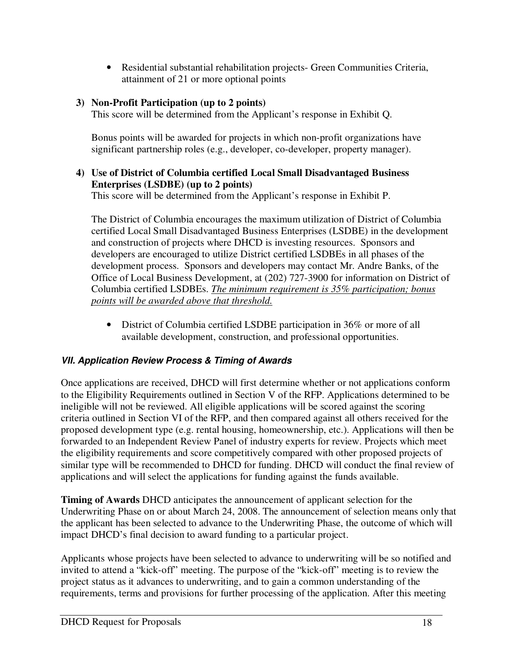• Residential substantial rehabilitation projects- Green Communities Criteria, attainment of 21 or more optional points

### **3) Non-Profit Participation (up to 2 points)**

This score will be determined from the Applicant's response in Exhibit Q.

Bonus points will be awarded for projects in which non-profit organizations have significant partnership roles (e.g., developer, co-developer, property manager).

### **4) Use of District of Columbia certified Local Small Disadvantaged Business Enterprises (LSDBE) (up to 2 points)**

This score will be determined from the Applicant's response in Exhibit P.

The District of Columbia encourages the maximum utilization of District of Columbia certified Local Small Disadvantaged Business Enterprises (LSDBE) in the development and construction of projects where DHCD is investing resources. Sponsors and developers are encouraged to utilize District certified LSDBEs in all phases of the development process. Sponsors and developers may contact Mr. Andre Banks, of the Office of Local Business Development, at (202) 727-3900 for information on District of Columbia certified LSDBEs. *The minimum requirement is 35% participation; bonus points will be awarded above that threshold.* 

• District of Columbia certified LSDBE participation in 36% or more of all available development, construction, and professional opportunities.

# **VII. Application Review Process & Timing of Awards**

Once applications are received, DHCD will first determine whether or not applications conform to the Eligibility Requirements outlined in Section V of the RFP. Applications determined to be ineligible will not be reviewed. All eligible applications will be scored against the scoring criteria outlined in Section VI of the RFP, and then compared against all others received for the proposed development type (e.g. rental housing, homeownership, etc.). Applications will then be forwarded to an Independent Review Panel of industry experts for review. Projects which meet the eligibility requirements and score competitively compared with other proposed projects of similar type will be recommended to DHCD for funding. DHCD will conduct the final review of applications and will select the applications for funding against the funds available.

**Timing of Awards** DHCD anticipates the announcement of applicant selection for the Underwriting Phase on or about March 24, 2008. The announcement of selection means only that the applicant has been selected to advance to the Underwriting Phase, the outcome of which will impact DHCD's final decision to award funding to a particular project.

Applicants whose projects have been selected to advance to underwriting will be so notified and invited to attend a "kick-off" meeting. The purpose of the "kick-off" meeting is to review the project status as it advances to underwriting, and to gain a common understanding of the requirements, terms and provisions for further processing of the application. After this meeting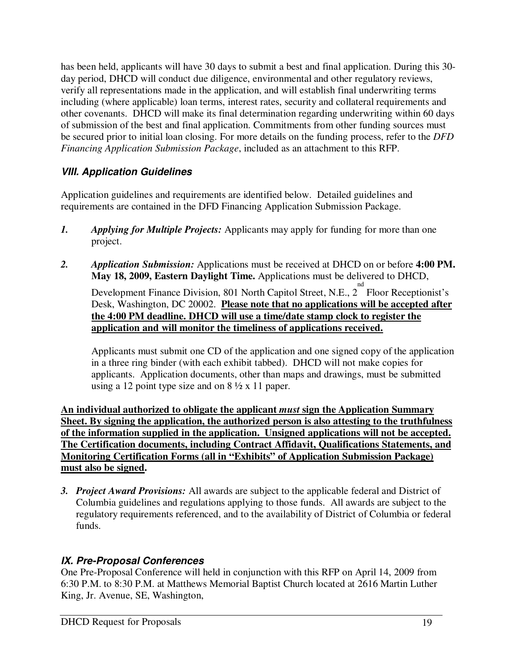has been held, applicants will have 30 days to submit a best and final application. During this 30 day period, DHCD will conduct due diligence, environmental and other regulatory reviews, verify all representations made in the application, and will establish final underwriting terms including (where applicable) loan terms, interest rates, security and collateral requirements and other covenants. DHCD will make its final determination regarding underwriting within 60 days of submission of the best and final application. Commitments from other funding sources must be secured prior to initial loan closing. For more details on the funding process, refer to the *DFD Financing Application Submission Package*, included as an attachment to this RFP.

### **VIII. Application Guidelines**

Application guidelines and requirements are identified below. Detailed guidelines and requirements are contained in the DFD Financing Application Submission Package.

- *1. Applying for Multiple Projects:* Applicants may apply for funding for more than one project.
- *2. Application Submission:* Applications must be received at DHCD on or before **4:00 PM. May 18, 2009, Eastern Daylight Time.** Applications must be delivered to DHCD,

Development Finance Division, 801 North Capitol Street, N.E., 2<sup>nd</sup> Floor Receptionist's Desk, Washington, DC 20002. **Please note that no applications will be accepted after the 4:00 PM deadline. DHCD will use a time/date stamp clock to register the application and will monitor the timeliness of applications received.** 

Applicants must submit one CD of the application and one signed copy of the application in a three ring binder (with each exhibit tabbed). DHCD will not make copies for applicants. Application documents, other than maps and drawings, must be submitted using a 12 point type size and on  $8\frac{1}{2} \times 11$  paper.

**An individual authorized to obligate the applicant** *must* **sign the Application Summary Sheet. By signing the application, the authorized person is also attesting to the truthfulness of the information supplied in the application. Unsigned applications will not be accepted. The Certification documents, including Contract Affidavit, Qualifications Statements, and Monitoring Certification Forms (all in "Exhibits" of Application Submission Package) must also be signed.** 

*3. Project Award Provisions:* All awards are subject to the applicable federal and District of Columbia guidelines and regulations applying to those funds. All awards are subject to the regulatory requirements referenced, and to the availability of District of Columbia or federal funds.

### **IX. Pre-Proposal Conferences**

One Pre-Proposal Conference will held in conjunction with this RFP on April 14, 2009 from 6:30 P.M. to 8:30 P.M. at Matthews Memorial Baptist Church located at 2616 Martin Luther King, Jr. Avenue, SE, Washington,